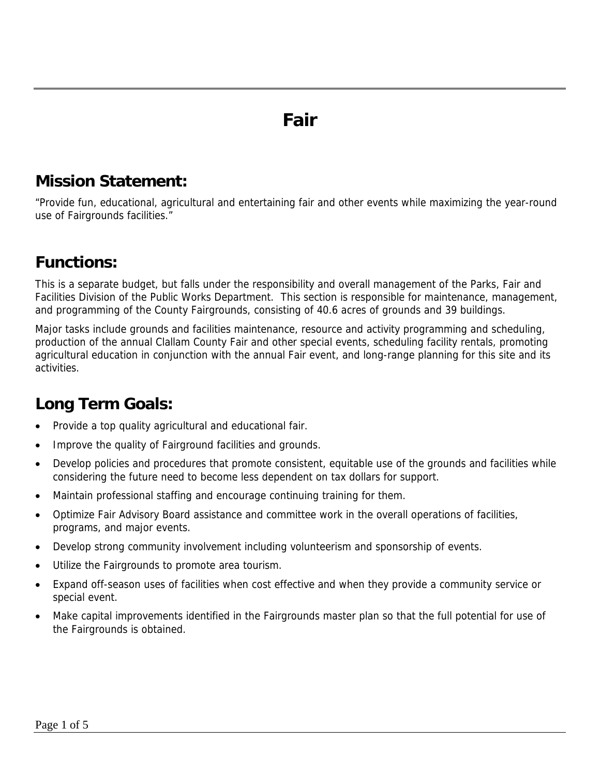## **Fair**

### **Mission Statement:**

"Provide fun, educational, agricultural and entertaining fair and other events while maximizing the year-round use of Fairgrounds facilities."

## **Functions:**

This is a separate budget, but falls under the responsibility and overall management of the Parks, Fair and Facilities Division of the Public Works Department. This section is responsible for maintenance, management, and programming of the County Fairgrounds, consisting of 40.6 acres of grounds and 39 buildings.

Major tasks include grounds and facilities maintenance, resource and activity programming and scheduling, production of the annual Clallam County Fair and other special events, scheduling facility rentals, promoting agricultural education in conjunction with the annual Fair event, and long-range planning for this site and its activities.

## **Long Term Goals:**

- Provide a top quality agricultural and educational fair.
- Improve the quality of Fairground facilities and grounds.
- Develop policies and procedures that promote consistent, equitable use of the grounds and facilities while considering the future need to become less dependent on tax dollars for support.
- Maintain professional staffing and encourage continuing training for them.
- Optimize Fair Advisory Board assistance and committee work in the overall operations of facilities, programs, and major events.
- Develop strong community involvement including volunteerism and sponsorship of events.
- Utilize the Fairgrounds to promote area tourism.
- Expand off-season uses of facilities when cost effective and when they provide a community service or special event.
- Make capital improvements identified in the Fairgrounds master plan so that the full potential for use of the Fairgrounds is obtained.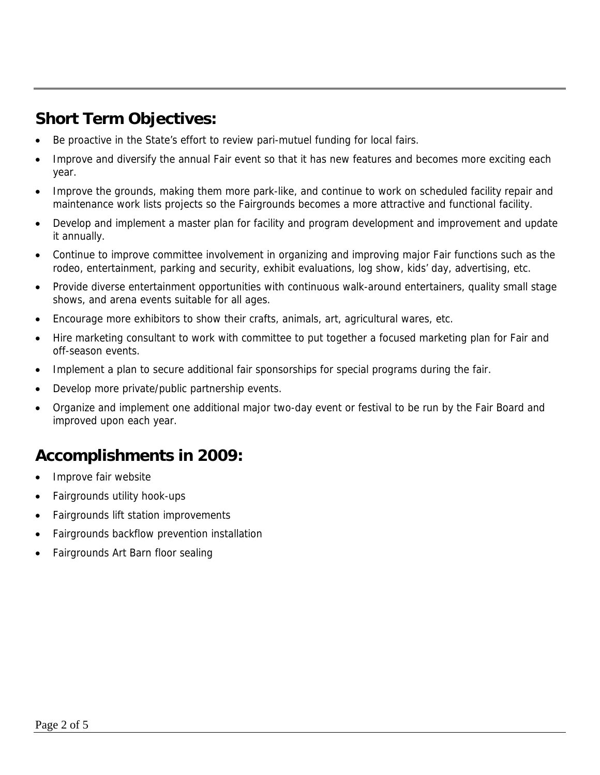### **Short Term Objectives:**

- Be proactive in the State's effort to review pari-mutuel funding for local fairs.
- Improve and diversify the annual Fair event so that it has new features and becomes more exciting each year.
- Improve the grounds, making them more park-like, and continue to work on scheduled facility repair and maintenance work lists projects so the Fairgrounds becomes a more attractive and functional facility.
- Develop and implement a master plan for facility and program development and improvement and update it annually.
- Continue to improve committee involvement in organizing and improving major Fair functions such as the rodeo, entertainment, parking and security, exhibit evaluations, log show, kids' day, advertising, etc.
- Provide diverse entertainment opportunities with continuous walk-around entertainers, quality small stage shows, and arena events suitable for all ages.
- Encourage more exhibitors to show their crafts, animals, art, agricultural wares, etc.
- Hire marketing consultant to work with committee to put together a focused marketing plan for Fair and off-season events.
- Implement a plan to secure additional fair sponsorships for special programs during the fair.
- Develop more private/public partnership events.
- Organize and implement one additional major two-day event or festival to be run by the Fair Board and improved upon each year.

### **Accomplishments in 2009:**

- Improve fair website
- Fairgrounds utility hook-ups
- Fairgrounds lift station improvements
- Fairgrounds backflow prevention installation
- Fairgrounds Art Barn floor sealing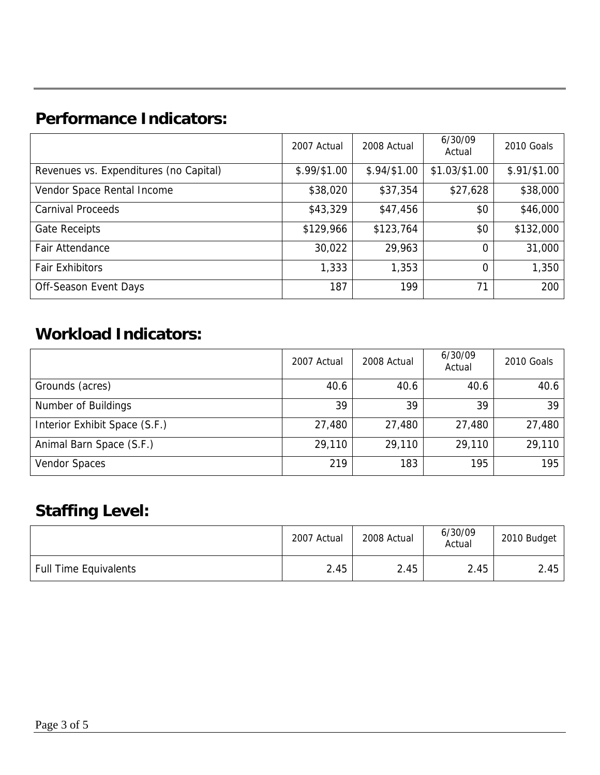## **Performance Indicators:**

|                                        | 2007 Actual  | 2008 Actual   | 6/30/09<br>Actual | 2010 Goals    |
|----------------------------------------|--------------|---------------|-------------------|---------------|
| Revenues vs. Expenditures (no Capital) | \$.99/\$1.00 | $$.94/\$1.00$ | $$1.03/\$1.00$    | $$.91/\$1.00$ |
| Vendor Space Rental Income             | \$38,020     | \$37,354      | \$27,628          | \$38,000      |
| <b>Carnival Proceeds</b>               | \$43,329     | \$47,456      | \$0               | \$46,000      |
| <b>Gate Receipts</b>                   | \$129,966    | \$123,764     | \$0               | \$132,000     |
| Fair Attendance                        | 30,022       | 29,963        | 0                 | 31,000        |
| <b>Fair Exhibitors</b>                 | 1,333        | 1,353         | 0                 | 1,350         |
| Off-Season Event Days                  | 187          | 199           | 71                | 200           |

## **Workload Indicators:**

|                               | 2007 Actual | 2008 Actual | 6/30/09<br>Actual | 2010 Goals |
|-------------------------------|-------------|-------------|-------------------|------------|
| Grounds (acres)               | 40.6        | 40.6        | 40.6              | 40.6       |
| Number of Buildings           | 39          | 39          | 39                | 39         |
| Interior Exhibit Space (S.F.) | 27,480      | 27,480      | 27,480            | 27,480     |
| Animal Barn Space (S.F.)      | 29,110      | 29,110      | 29,110            | 29,110     |
| Vendor Spaces                 | 219         | 183         | 195               | 195        |

## **Staffing Level:**

|                              | 2007 Actual | 2008 Actual | 6/30/09<br>Actual | 2010 Budget |
|------------------------------|-------------|-------------|-------------------|-------------|
| <b>Full Time Equivalents</b> | 2.45        | 2.45        | 2.45              | 2.45        |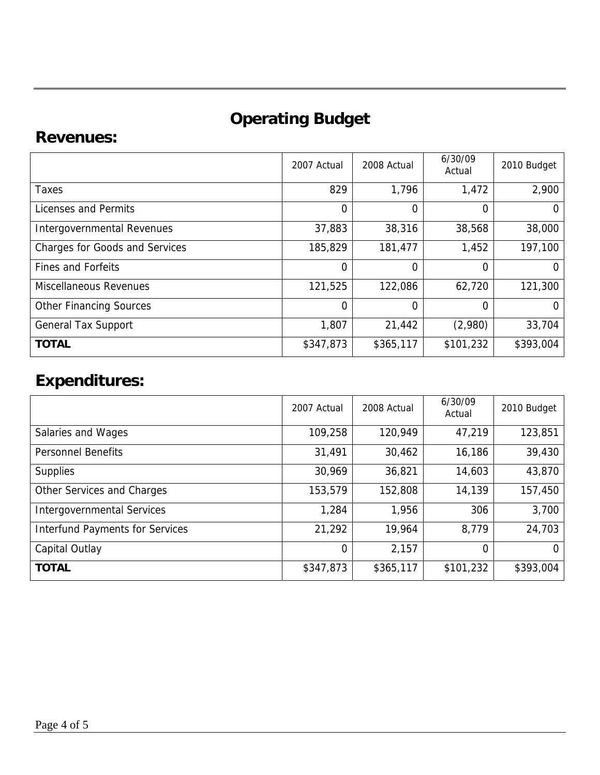# **Operating Budget**

#### **Revenues:**

|                                       | 2007 Actual    | 2008 Actual | 6/30/09<br>Actual | 2010 Budget |
|---------------------------------------|----------------|-------------|-------------------|-------------|
| Taxes                                 | 829            | 1,796       | 1,472             | 2,900       |
| Licenses and Permits                  | $\overline{0}$ | 0           | 0                 |             |
| <b>Intergovernmental Revenues</b>     | 37,883         | 38,316      | 38,568            | 38,000      |
| <b>Charges for Goods and Services</b> | 185,829        | 181,477     | 1,452             | 197,100     |
| <b>Fines and Forfeits</b>             | $\Omega$       | 0           | 0                 |             |
| <b>Miscellaneous Revenues</b>         | 121,525        | 122,086     | 62,720            | 121,300     |
| <b>Other Financing Sources</b>        | $\Omega$       | 0           | 0                 |             |
| <b>General Tax Support</b>            | 1,807          | 21,442      | (2,980)           | 33,704      |
| <b>TOTAL</b>                          | \$347,873      | \$365,117   | \$101,232         | \$393,004   |

## **Expenditures:**

|                                        | 2007 Actual | 2008 Actual | 6/30/09<br>Actual | 2010 Budget |
|----------------------------------------|-------------|-------------|-------------------|-------------|
| Salaries and Wages                     | 109,258     | 120,949     | 47,219            | 123,851     |
| <b>Personnel Benefits</b>              | 31,491      | 30,462      | 16,186            | 39,430      |
| <b>Supplies</b>                        | 30,969      | 36,821      | 14,603            | 43,870      |
| Other Services and Charges             | 153,579     | 152,808     | 14,139            | 157,450     |
| <b>Intergovernmental Services</b>      | 1,284       | 1,956       | 306               | 3,700       |
| <b>Interfund Payments for Services</b> | 21,292      | 19,964      | 8,779             | 24,703      |
| Capital Outlay                         | 0           | 2,157       | $\Omega$          | $\Omega$    |
| <b>TOTAL</b>                           | \$347,873   | \$365,117   | \$101,232         | \$393,004   |